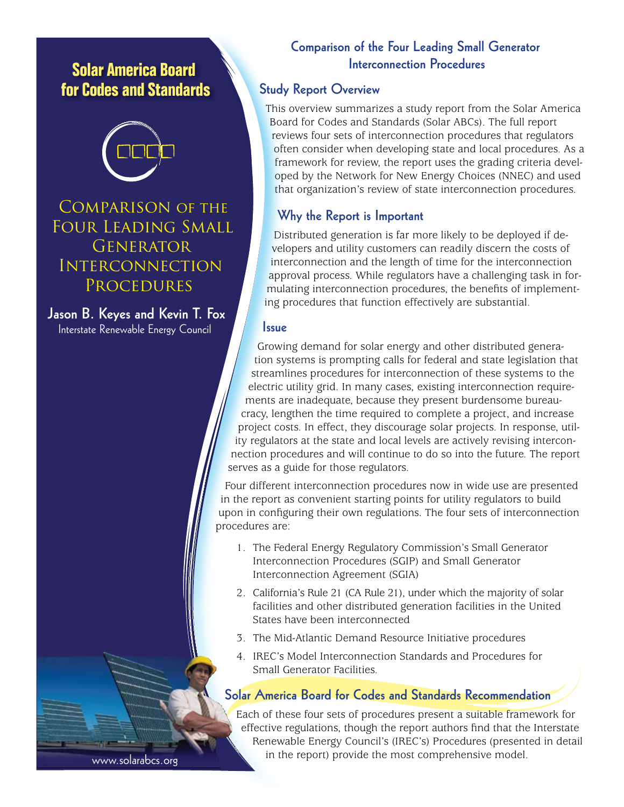# **Solar America Board for Codes and Standards**



Comparison of the Four Leading Small **GENERATOR INTERCONNECTION PROCEDURES** 

**Jason B. Keyes and Kevin T. Fox** Interstate Renewable Energy Council

# **Comparison of the Four Leading Small Generator Interconnection Procedures**

#### **Study Report Overview**

This overview summarizes a study report from the Solar America Board for Codes and Standards (Solar ABCs). The full report reviews four sets of interconnection procedures that regulators often consider when developing state and local procedures. As a framework for review, the report uses the grading criteria developed by the Network for New Energy Choices (NNEC) and used that organization's review of state interconnection procedures.

## **Why the Report is Important**

Distributed generation is far more likely to be deployed if developers and utility customers can readily discern the costs of interconnection and the length of time for the interconnection approval process. While regulators have a challenging task in formulating interconnection procedures, the benefits of implementing procedures that function effectively are substantial.

#### **Issue**

Growing demand for solar energy and other distributed generation systems is prompting calls for federal and state legislation that streamlines procedures for interconnection of these systems to the electric utility grid. In many cases, existing interconnection requirements are inadequate, because they present burdensome bureaucracy, lengthen the time required to complete a project, and increase project costs. In effect, they discourage solar projects. In response, utility regulators at the state and local levels are actively revising interconnection procedures and will continue to do so into the future. The report serves as a guide for those regulators.

Four different interconnection procedures now in wide use are presented in the report as convenient starting points for utility regulators to build upon in configuring their own regulations. The four sets of interconnection procedures are:

- 1. The Federal Energy Regulatory Commission's Small Generator Interconnection Procedures (SGIP) and Small Generator Interconnection Agreement (SGIA)
- 2. California's Rule 21 (CA Rule 21), under which the majority of solar facilities and other distributed generation facilities in the United States have been interconnected
- 3. The Mid-Atlantic Demand Resource Initiative procedures
- 4. IREC's Model Interconnection Standards and Procedures for Small Generator Facilities.

# **Solar America Board for Codes and Standards Recommendation**

Each of these four sets of procedures present a suitable framework for effective regulations, though the report authors find that the Interstate Renewable Energy Council's (IREC's) Procedures (presented in detail in the report) provide the most comprehensive model.

www.solarabcs.org